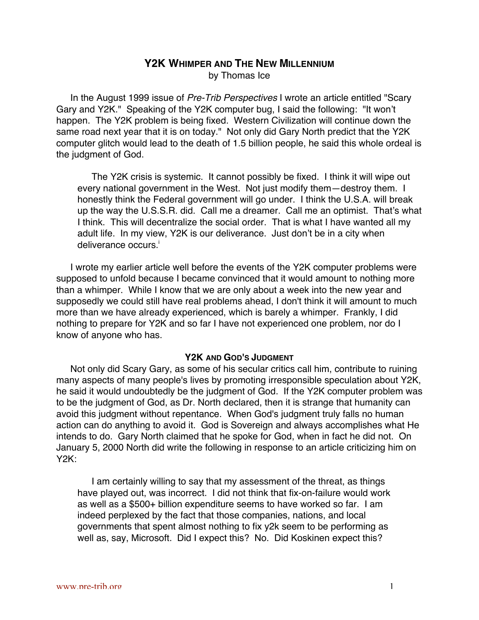## **Y2K WHIMPER AND THE NEW MILLENNIUM** by Thomas Ice

In the August 1999 issue of Pre-Trib Perspectives I wrote an article entitled "Scary Gary and Y2K." Speaking of the Y2K computer bug, I said the following: "It won't happen. The Y2K problem is being fixed. Western Civilization will continue down the same road next year that it is on today." Not only did Gary North predict that the Y2K computer glitch would lead to the death of 1.5 billion people, he said this whole ordeal is the judgment of God.

The Y2K crisis is systemic. It cannot possibly be fixed. I think it will wipe out every national government in the West. Not just modify them—destroy them. I honestly think the Federal government will go under. I think the U.S.A. will break up the way the U.S.S.R. did. Call me a dreamer. Call me an optimist. That's what I think. This will decentralize the social order. That is what I have wanted all my adult life. In my view, Y2K is our deliverance. Just don't be in a city when deliverance occurs<sup>i</sup>

I wrote my earlier article well before the events of the Y2K computer problems were supposed to unfold because I became convinced that it would amount to nothing more than a whimper. While I know that we are only about a week into the new year and supposedly we could still have real problems ahead, I don't think it will amount to much more than we have already experienced, which is barely a whimper. Frankly, I did nothing to prepare for Y2K and so far I have not experienced one problem, nor do I know of anyone who has.

## **Y2K AND GOD'S JUDGMENT**

Not only did Scary Gary, as some of his secular critics call him, contribute to ruining many aspects of many people's lives by promoting irresponsible speculation about Y2K, he said it would undoubtedly be the judgment of God. If the Y2K computer problem was to be the judgment of God, as Dr. North declared, then it is strange that humanity can avoid this judgment without repentance. When God's judgment truly falls no human action can do anything to avoid it. God is Sovereign and always accomplishes what He intends to do. Gary North claimed that he spoke for God, when in fact he did not. On January 5, 2000 North did write the following in response to an article criticizing him on Y2K:

I am certainly willing to say that my assessment of the threat, as things have played out, was incorrect. I did not think that fix-on-failure would work as well as a \$500+ billion expenditure seems to have worked so far. I am indeed perplexed by the fact that those companies, nations, and local governments that spent almost nothing to fix y2k seem to be performing as well as, say, Microsoft. Did I expect this? No. Did Koskinen expect this?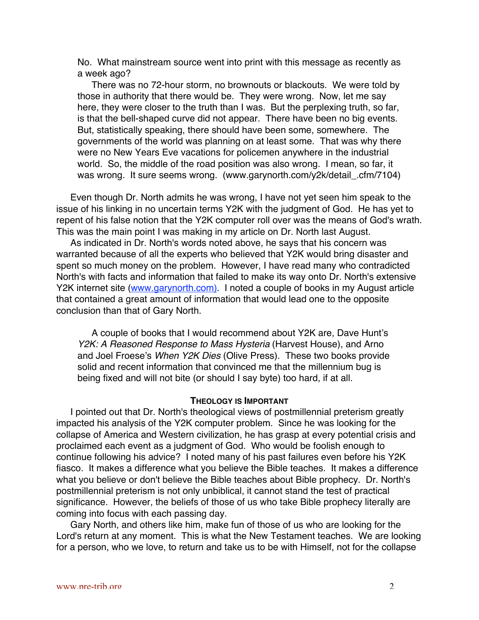No. What mainstream source went into print with this message as recently as a week ago?

There was no 72-hour storm, no brownouts or blackouts. We were told by those in authority that there would be. They were wrong. Now, let me say here, they were closer to the truth than I was. But the perplexing truth, so far, is that the bell-shaped curve did not appear. There have been no big events. But, statistically speaking, there should have been some, somewhere. The governments of the world was planning on at least some. That was why there were no New Years Eve vacations for policemen anywhere in the industrial world. So, the middle of the road position was also wrong. I mean, so far, it was wrong. It sure seems wrong. (www.garynorth.com/y2k/detail\_.cfm/7104)

Even though Dr. North admits he was wrong, I have not yet seen him speak to the issue of his linking in no uncertain terms Y2K with the judgment of God. He has yet to repent of his false notion that the Y2K computer roll over was the means of God's wrath. This was the main point I was making in my article on Dr. North last August.

As indicated in Dr. North's words noted above, he says that his concern was warranted because of all the experts who believed that Y2K would bring disaster and spent so much money on the problem. However, I have read many who contradicted North's with facts and information that failed to make its way onto Dr. North's extensive Y2K internet site (www.garynorth.com). I noted a couple of books in my August article that contained a great amount of information that would lead one to the opposite conclusion than that of Gary North.

A couple of books that I would recommend about Y2K are, Dave Hunt's Y2K: A Reasoned Response to Mass Hysteria (Harvest House), and Arno and Joel Froese's When Y2K Dies (Olive Press). These two books provide solid and recent information that convinced me that the millennium bug is being fixed and will not bite (or should I say byte) too hard, if at all.

## **THEOLOGY IS IMPORTANT**

I pointed out that Dr. North's theological views of postmillennial preterism greatly impacted his analysis of the Y2K computer problem. Since he was looking for the collapse of America and Western civilization, he has grasp at every potential crisis and proclaimed each event as a judgment of God. Who would be foolish enough to continue following his advice? I noted many of his past failures even before his Y2K fiasco. It makes a difference what you believe the Bible teaches. It makes a difference what you believe or don't believe the Bible teaches about Bible prophecy. Dr. North's postmillennial preterism is not only unbiblical, it cannot stand the test of practical significance. However, the beliefs of those of us who take Bible prophecy literally are coming into focus with each passing day.

Gary North, and others like him, make fun of those of us who are looking for the Lord's return at any moment. This is what the New Testament teaches. We are looking for a person, who we love, to return and take us to be with Himself, not for the collapse